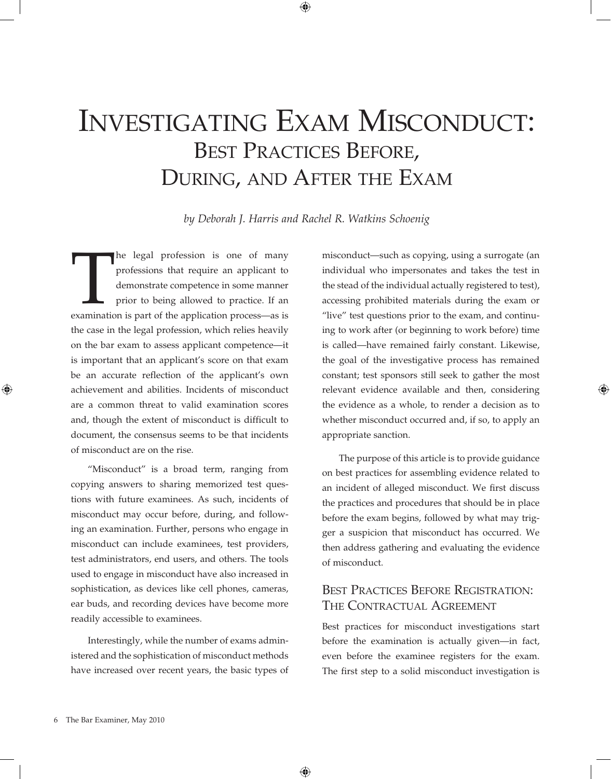# Investigating Exam Misconduct: Best Practices Before, During, and After the Exam

*by Deborah J. Harris and Rachel R. Watkins Schoenig*

The legal profession is one of many professions that require an applicant to demonstrate competence in some manner prior to being allowed to practice. If an examination is part of the application process—as is professions that require an applicant to demonstrate competence in some manner prior to being allowed to practice. If an the case in the legal profession, which relies heavily on the bar exam to assess applicant competence—it is important that an applicant's score on that exam be an accurate reflection of the applicant's own achievement and abilities. Incidents of misconduct are a common threat to valid examination scores and, though the extent of misconduct is difficult to document, the consensus seems to be that incidents of misconduct are on the rise.

"Misconduct" is a broad term, ranging from copying answers to sharing memorized test questions with future examinees. As such, incidents of misconduct may occur before, during, and following an examination. Further, persons who engage in misconduct can include examinees, test providers, test administrators, end users, and others. The tools used to engage in misconduct have also increased in sophistication, as devices like cell phones, cameras, ear buds, and recording devices have become more readily accessible to examinees.

Interestingly, while the number of exams administered and the sophistication of misconduct methods have increased over recent years, the basic types of misconduct—such as copying, using a surrogate (an individual who impersonates and takes the test in the stead of the individual actually registered to test), accessing prohibited materials during the exam or "live" test questions prior to the exam, and continuing to work after (or beginning to work before) time is called—have remained fairly constant. Likewise, the goal of the investigative process has remained constant; test sponsors still seek to gather the most relevant evidence available and then, considering the evidence as a whole, to render a decision as to whether misconduct occurred and, if so, to apply an appropriate sanction.

The purpose of this article is to provide guidance on best practices for assembling evidence related to an incident of alleged misconduct. We first discuss the practices and procedures that should be in place before the exam begins, followed by what may trigger a suspicion that misconduct has occurred. We then address gathering and evaluating the evidence of misconduct.

# Best Practices Before Registration: THE CONTRACTUAL AGREEMENT

Best practices for misconduct investigations start before the examination is actually given—in fact, even before the examinee registers for the exam. The first step to a solid misconduct investigation is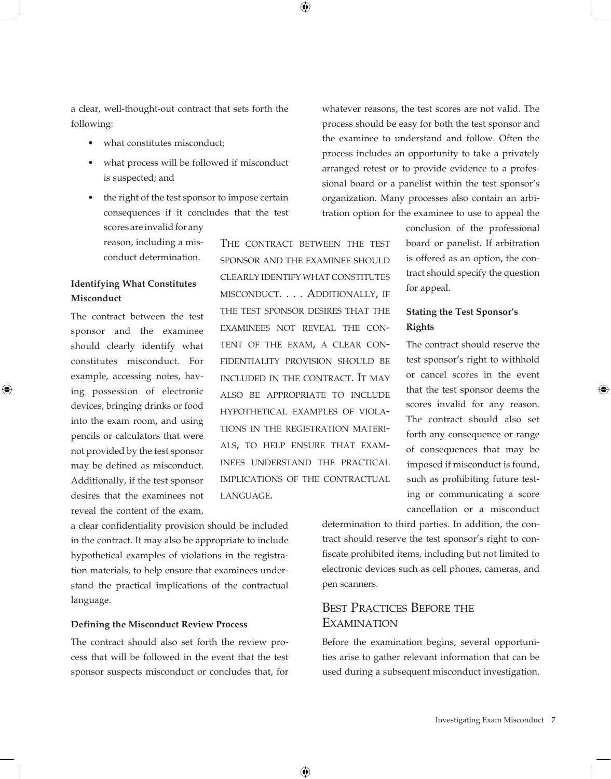a clear, well-thought-out contract that sets forth the following:

- what constitutes misconduct;
- what process will be followed if misconduct is suspected; and
- the right of the test sponsor to impose certain consequences if it concludes that the test scores are invalid for any reason, including a mis-

conduct determination.

# **Identifying What Constitutes Misconduct**

The contract between the test sponsor and the examinee should clearly identify what constitutes misconduct. For example, accessing notes, having possession of electronic devices, bringing drinks or food into the exam room, and using pencils or calculators that were not provided by the test sponsor may be defined as misconduct. Additionally, if the test sponsor desires that the examinees not reveal the content of the exam,

THE CONTRACT BETWEEN THE TEST sponsor and the examinee should clearly identify what constitutes misconduct. . . . Additionally, if the test sponsor desires that the examinees not reveal the content of the exam, a clear confidentiality provision should be included in the contract. It may also be appropriate to include hypothetical examples of violations in the registration materials, to help ensure that examinees understand the practical implications of the contractual language.

a clear confidentiality provision should be included in the contract. It may also be appropriate to include hypothetical examples of violations in the registration materials, to help ensure that examinees understand the practical implications of the contractual language.

#### **Defining the Misconduct Review Process**

The contract should also set forth the review process that will be followed in the event that the test sponsor suspects misconduct or concludes that, for whatever reasons, the test scores are not valid. The process should be easy for both the test sponsor and the examinee to understand and follow. Often the process includes an opportunity to take a privately arranged retest or to provide evidence to a professional board or a panelist within the test sponsor's organization. Many processes also contain an arbitration option for the examinee to use to appeal the

> conclusion of the professional board or panelist. If arbitration is offered as an option, the contract should specify the question for appeal.

# **Stating the Test Sponsor's Rights**

The contract should reserve the test sponsor's right to withhold or cancel scores in the event that the test sponsor deems the scores invalid for any reason. The contract should also set forth any consequence or range of consequences that may be imposed if misconduct is found, such as prohibiting future testing or communicating a score cancellation or a misconduct

determination to third parties. In addition, the contract should reserve the test sponsor's right to confiscate prohibited items, including but not limited to electronic devices such as cell phones, cameras, and pen scanners.

# Best Practices Before the **EXAMINATION**

Before the examination begins, several opportunities arise to gather relevant information that can be used during a subsequent misconduct investigation.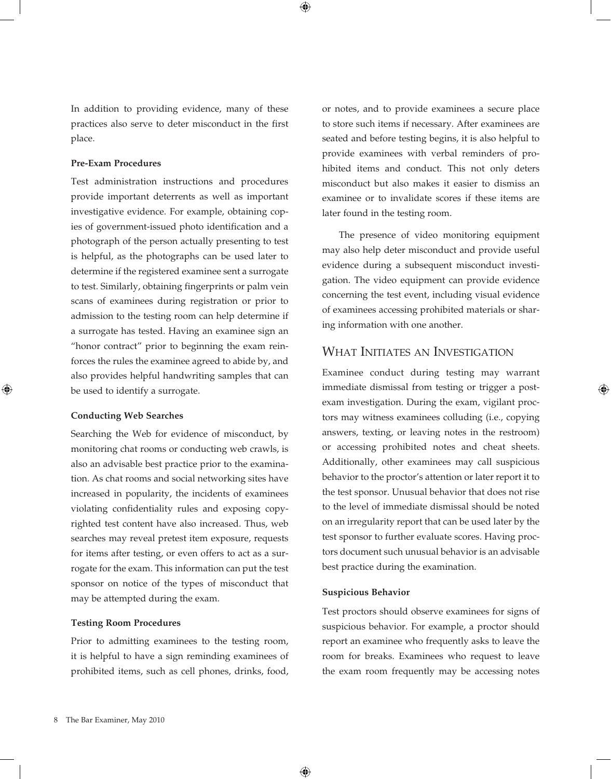In addition to providing evidence, many of these practices also serve to deter misconduct in the first place.

#### **Pre-Exam Procedures**

Test administration instructions and procedures provide important deterrents as well as important investigative evidence. For example, obtaining copies of government-issued photo identification and a photograph of the person actually presenting to test is helpful, as the photographs can be used later to determine if the registered examinee sent a surrogate to test. Similarly, obtaining fingerprints or palm vein scans of examinees during registration or prior to admission to the testing room can help determine if a surrogate has tested. Having an examinee sign an "honor contract" prior to beginning the exam reinforces the rules the examinee agreed to abide by, and also provides helpful handwriting samples that can be used to identify a surrogate.

#### **Conducting Web Searches**

Searching the Web for evidence of misconduct, by monitoring chat rooms or conducting web crawls, is also an advisable best practice prior to the examination. As chat rooms and social networking sites have increased in popularity, the incidents of examinees violating confidentiality rules and exposing copyrighted test content have also increased. Thus, web searches may reveal pretest item exposure, requests for items after testing, or even offers to act as a surrogate for the exam. This information can put the test sponsor on notice of the types of misconduct that may be attempted during the exam.

#### **Testing Room Procedures**

Prior to admitting examinees to the testing room, it is helpful to have a sign reminding examinees of prohibited items, such as cell phones, drinks, food, or notes, and to provide examinees a secure place to store such items if necessary. After examinees are seated and before testing begins, it is also helpful to provide examinees with verbal reminders of prohibited items and conduct. This not only deters misconduct but also makes it easier to dismiss an examinee or to invalidate scores if these items are later found in the testing room.

The presence of video monitoring equipment may also help deter misconduct and provide useful evidence during a subsequent misconduct investigation. The video equipment can provide evidence concerning the test event, including visual evidence of examinees accessing prohibited materials or sharing information with one another.

# WHAT INITIATES AN INVESTIGATION

Examinee conduct during testing may warrant immediate dismissal from testing or trigger a postexam investigation. During the exam, vigilant proctors may witness examinees colluding (i.e., copying answers, texting, or leaving notes in the restroom) or accessing prohibited notes and cheat sheets. Additionally, other examinees may call suspicious behavior to the proctor's attention or later report it to the test sponsor. Unusual behavior that does not rise to the level of immediate dismissal should be noted on an irregularity report that can be used later by the test sponsor to further evaluate scores. Having proctors document such unusual behavior is an advisable best practice during the examination.

#### **Suspicious Behavior**

Test proctors should observe examinees for signs of suspicious behavior. For example, a proctor should report an examinee who frequently asks to leave the room for breaks. Examinees who request to leave the exam room frequently may be accessing notes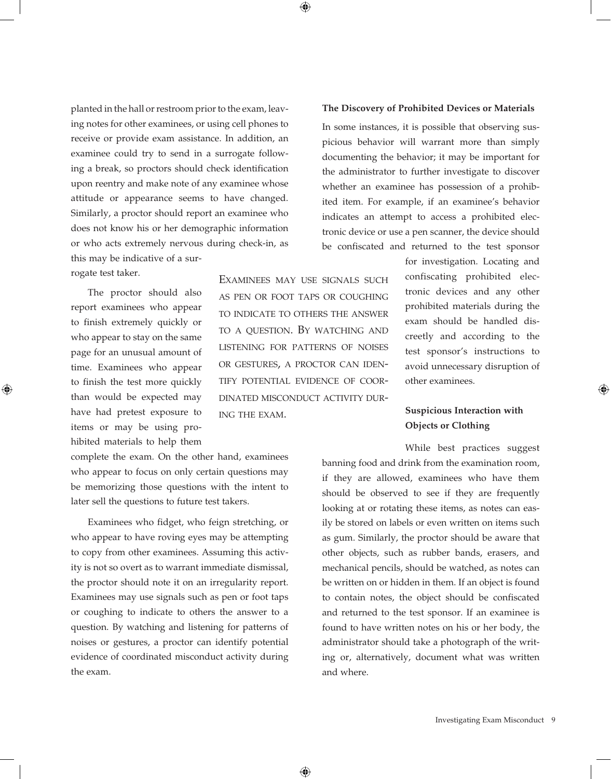planted in the hall or restroom prior to the exam, leaving notes for other examinees, or using cell phones to receive or provide exam assistance. In addition, an examinee could try to send in a surrogate following a break, so proctors should check identification upon reentry and make note of any examinee whose attitude or appearance seems to have changed. Similarly, a proctor should report an examinee who does not know his or her demographic information or who acts extremely nervous during check-in, as this may be indicative of a surrogate test taker.

The proctor should also report examinees who appear to finish extremely quickly or who appear to stay on the same page for an unusual amount of time. Examinees who appear to finish the test more quickly than would be expected may have had pretest exposure to items or may be using prohibited materials to help them Examinees may use signals such as pen or foot taps or coughing to indicate to others the answer to a question. By watching and listening for patterns of noises or gestures, a proctor can identify potential evidence of coordinated misconduct activity during the exam.

**The Discovery of Prohibited Devices or Materials** 

In some instances, it is possible that observing suspicious behavior will warrant more than simply documenting the behavior; it may be important for the administrator to further investigate to discover whether an examinee has possession of a prohibited item. For example, if an examinee's behavior indicates an attempt to access a prohibited electronic device or use a pen scanner, the device should be confiscated and returned to the test sponsor

> for investigation. Locating and confiscating prohibited electronic devices and any other prohibited materials during the exam should be handled discreetly and according to the test sponsor's instructions to avoid unnecessary disruption of other examinees.

# **Suspicious Interaction with Objects or Clothing**

complete the exam. On the other hand, examinees who appear to focus on only certain questions may be memorizing those questions with the intent to later sell the questions to future test takers.

Examinees who fidget, who feign stretching, or who appear to have roving eyes may be attempting to copy from other examinees. Assuming this activity is not so overt as to warrant immediate dismissal, the proctor should note it on an irregularity report. Examinees may use signals such as pen or foot taps or coughing to indicate to others the answer to a question. By watching and listening for patterns of noises or gestures, a proctor can identify potential evidence of coordinated misconduct activity during the exam.

While best practices suggest banning food and drink from the examination room, if they are allowed, examinees who have them should be observed to see if they are frequently looking at or rotating these items, as notes can easily be stored on labels or even written on items such as gum. Similarly, the proctor should be aware that other objects, such as rubber bands, erasers, and mechanical pencils, should be watched, as notes can be written on or hidden in them. If an object is found to contain notes, the object should be confiscated and returned to the test sponsor. If an examinee is found to have written notes on his or her body, the administrator should take a photograph of the writing or, alternatively, document what was written and where.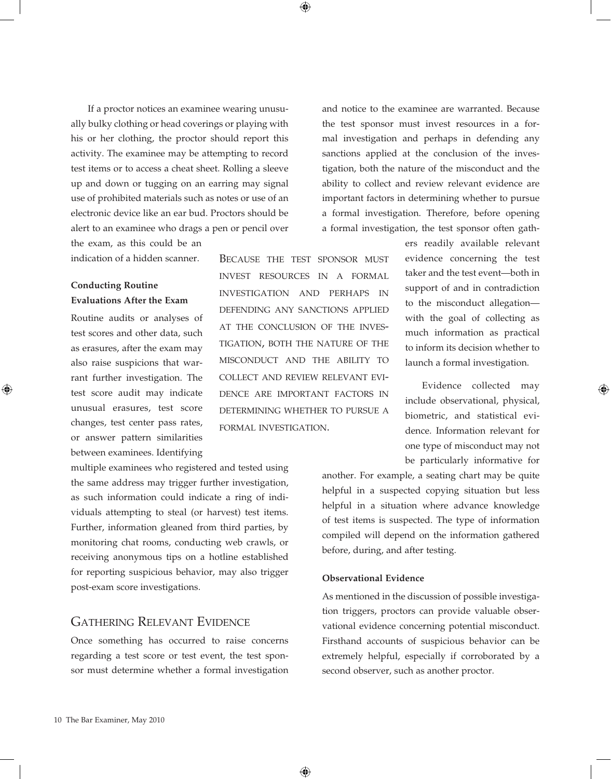If a proctor notices an examinee wearing unusually bulky clothing or head coverings or playing with his or her clothing, the proctor should report this activity. The examinee may be attempting to record test items or to access a cheat sheet. Rolling a sleeve up and down or tugging on an earring may signal use of prohibited materials such as notes or use of an electronic device like an ear bud. Proctors should be alert to an examinee who drags a pen or pencil over the exam, as this could be an

indication of a hidden scanner.

# **Conducting Routine Evaluations After the Exam**

Routine audits or analyses of test scores and other data, such as erasures, after the exam may also raise suspicions that warrant further investigation. The test score audit may indicate unusual erasures, test score changes, test center pass rates, or answer pattern similarities between examinees. Identifying

multiple examinees who registered and tested using the same address may trigger further investigation, as such information could indicate a ring of individuals attempting to steal (or harvest) test items. Further, information gleaned from third parties, by monitoring chat rooms, conducting web crawls, or receiving anonymous tips on a hotline established for reporting suspicious behavior, may also trigger post-exam score investigations.

# Gathering Relevant Evidence

Once something has occurred to raise concerns regarding a test score or test event, the test sponsor must determine whether a formal investigation

Because the test sponsor must invest resources in a formal investigation and perhaps in defending any sanctions applied at the conclusion of the investigation, both the nature of the misconduct and the ability to collect and review relevant evidence are important factors in determining whether to pursue a formal investigation.

and notice to the examinee are warranted. Because the test sponsor must invest resources in a formal investigation and perhaps in defending any sanctions applied at the conclusion of the investigation, both the nature of the misconduct and the ability to collect and review relevant evidence are important factors in determining whether to pursue a formal investigation. Therefore, before opening a formal investigation, the test sponsor often gath-

> ers readily available relevant evidence concerning the test taker and the test event—both in support of and in contradiction to the misconduct allegation with the goal of collecting as much information as practical to inform its decision whether to launch a formal investigation.

> Evidence collected may include observational, physical, biometric, and statistical evidence. Information relevant for one type of misconduct may not be particularly informative for

another. For example, a seating chart may be quite helpful in a suspected copying situation but less helpful in a situation where advance knowledge of test items is suspected. The type of information compiled will depend on the information gathered before, during, and after testing.

#### **Observational Evidence**

As mentioned in the discussion of possible investigation triggers, proctors can provide valuable observational evidence concerning potential misconduct. Firsthand accounts of suspicious behavior can be extremely helpful, especially if corroborated by a second observer, such as another proctor.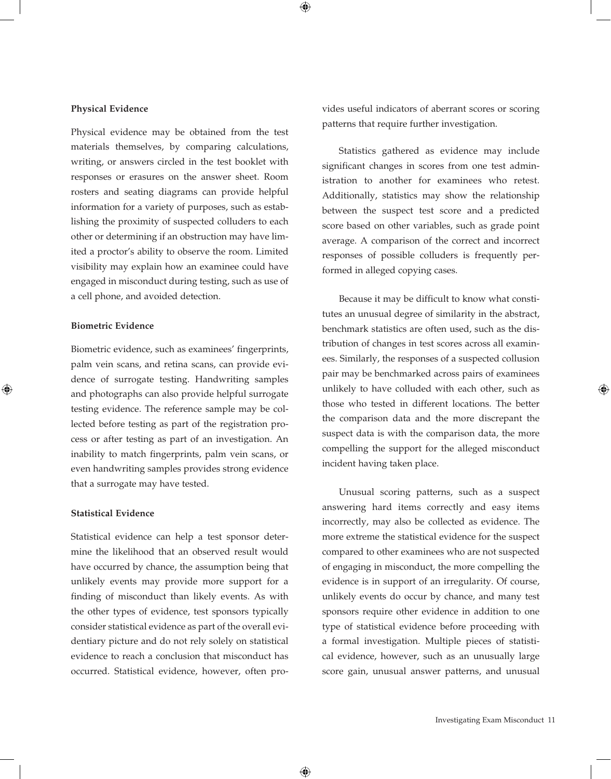#### **Physical Evidence**

Physical evidence may be obtained from the test materials themselves, by comparing calculations, writing, or answers circled in the test booklet with responses or erasures on the answer sheet. Room rosters and seating diagrams can provide helpful information for a variety of purposes, such as establishing the proximity of suspected colluders to each other or determining if an obstruction may have limited a proctor's ability to observe the room. Limited visibility may explain how an examinee could have engaged in misconduct during testing, such as use of a cell phone, and avoided detection.

#### **Biometric Evidence**

Biometric evidence, such as examinees' fingerprints, palm vein scans, and retina scans, can provide evidence of surrogate testing. Handwriting samples and photographs can also provide helpful surrogate testing evidence. The reference sample may be collected before testing as part of the registration process or after testing as part of an investigation. An inability to match fingerprints, palm vein scans, or even handwriting samples provides strong evidence that a surrogate may have tested.

#### **Statistical Evidence**

Statistical evidence can help a test sponsor determine the likelihood that an observed result would have occurred by chance, the assumption being that unlikely events may provide more support for a finding of misconduct than likely events. As with the other types of evidence, test sponsors typically consider statistical evidence as part of the overall evidentiary picture and do not rely solely on statistical evidence to reach a conclusion that misconduct has occurred. Statistical evidence, however, often provides useful indicators of aberrant scores or scoring patterns that require further investigation.

Statistics gathered as evidence may include significant changes in scores from one test administration to another for examinees who retest. Additionally, statistics may show the relationship between the suspect test score and a predicted score based on other variables, such as grade point average. A comparison of the correct and incorrect responses of possible colluders is frequently performed in alleged copying cases.

Because it may be difficult to know what constitutes an unusual degree of similarity in the abstract, benchmark statistics are often used, such as the distribution of changes in test scores across all examinees. Similarly, the responses of a suspected collusion pair may be benchmarked across pairs of examinees unlikely to have colluded with each other, such as those who tested in different locations. The better the comparison data and the more discrepant the suspect data is with the comparison data, the more compelling the support for the alleged misconduct incident having taken place.

Unusual scoring patterns, such as a suspect answering hard items correctly and easy items incorrectly, may also be collected as evidence. The more extreme the statistical evidence for the suspect compared to other examinees who are not suspected of engaging in misconduct, the more compelling the evidence is in support of an irregularity. Of course, unlikely events do occur by chance, and many test sponsors require other evidence in addition to one type of statistical evidence before proceeding with a formal investigation. Multiple pieces of statistical evidence, however, such as an unusually large score gain, unusual answer patterns, and unusual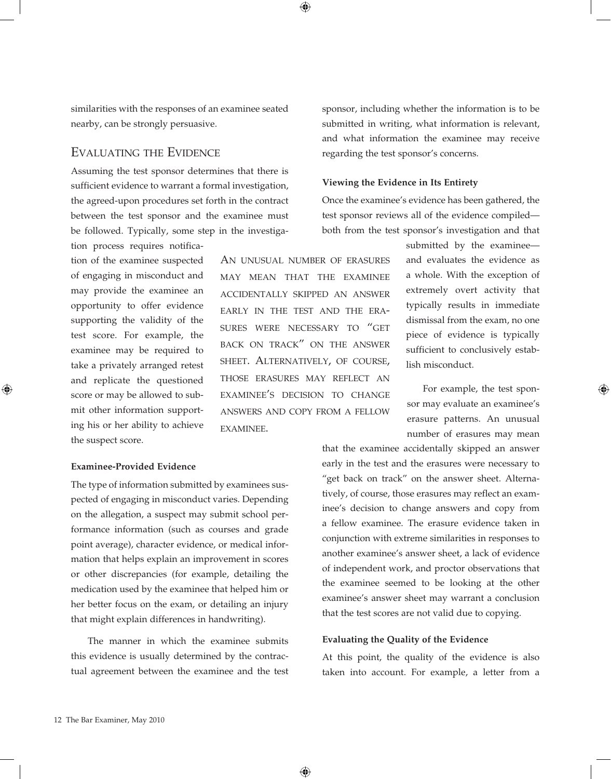similarities with the responses of an examinee seated nearby, can be strongly persuasive.

# Evaluating the Evidence

Assuming the test sponsor determines that there is sufficient evidence to warrant a formal investigation, the agreed-upon procedures set forth in the contract between the test sponsor and the examinee must be followed. Typically, some step in the investiga-

tion process requires notification of the examinee suspected of engaging in misconduct and may provide the examinee an opportunity to offer evidence supporting the validity of the test score. For example, the examinee may be required to take a privately arranged retest and replicate the questioned score or may be allowed to submit other information supporting his or her ability to achieve the suspect score.

may mean that the examinee accidentally skipped an answer early in the test and the erasures were necessary to "get back on track" on the answer sheet. Alternatively, of course, those erasures may reflect an examinee's decision to change answers and copy from a fellow examinee.

An unusual number of erasures

#### **Examinee-Provided Evidence**

The type of information submitted by examinees suspected of engaging in misconduct varies. Depending on the allegation, a suspect may submit school performance information (such as courses and grade point average), character evidence, or medical information that helps explain an improvement in scores or other discrepancies (for example, detailing the medication used by the examinee that helped him or her better focus on the exam, or detailing an injury that might explain differences in handwriting).

The manner in which the examinee submits this evidence is usually determined by the contractual agreement between the examinee and the test sponsor, including whether the information is to be submitted in writing, what information is relevant, and what information the examinee may receive regarding the test sponsor's concerns.

#### **Viewing the Evidence in Its Entirety**

Once the examinee's evidence has been gathered, the test sponsor reviews all of the evidence compiled both from the test sponsor's investigation and that

> submitted by the examinee and evaluates the evidence as a whole. With the exception of extremely overt activity that typically results in immediate dismissal from the exam, no one piece of evidence is typically sufficient to conclusively establish misconduct.

> For example, the test sponsor may evaluate an examinee's erasure patterns. An unusual number of erasures may mean

that the examinee accidentally skipped an answer early in the test and the erasures were necessary to "get back on track" on the answer sheet. Alternatively, of course, those erasures may reflect an examinee's decision to change answers and copy from a fellow examinee. The erasure evidence taken in conjunction with extreme similarities in responses to another examinee's answer sheet, a lack of evidence of independent work, and proctor observations that the examinee seemed to be looking at the other examinee's answer sheet may warrant a conclusion that the test scores are not valid due to copying.

#### **Evaluating the Quality of the Evidence**

At this point, the quality of the evidence is also taken into account. For example, a letter from a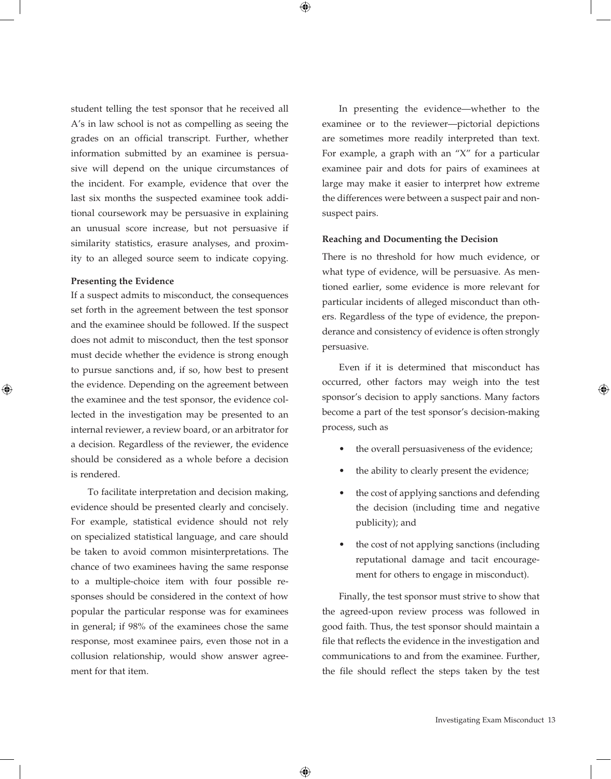student telling the test sponsor that he received all A's in law school is not as compelling as seeing the grades on an official transcript. Further, whether information submitted by an examinee is persuasive will depend on the unique circumstances of the incident. For example, evidence that over the last six months the suspected examinee took additional coursework may be persuasive in explaining an unusual score increase, but not persuasive if similarity statistics, erasure analyses, and proximity to an alleged source seem to indicate copying.

#### **Presenting the Evidence**

If a suspect admits to misconduct, the consequences set forth in the agreement between the test sponsor and the examinee should be followed. If the suspect does not admit to misconduct, then the test sponsor must decide whether the evidence is strong enough to pursue sanctions and, if so, how best to present the evidence. Depending on the agreement between the examinee and the test sponsor, the evidence collected in the investigation may be presented to an internal reviewer, a review board, or an arbitrator for a decision. Regardless of the reviewer, the evidence should be considered as a whole before a decision is rendered.

To facilitate interpretation and decision making, evidence should be presented clearly and concisely. For example, statistical evidence should not rely on specialized statistical language, and care should be taken to avoid common misinterpretations. The chance of two examinees having the same response to a multiple-choice item with four possible responses should be considered in the context of how popular the particular response was for examinees in general; if 98% of the examinees chose the same response, most examinee pairs, even those not in a collusion relationship, would show answer agreement for that item.

In presenting the evidence—whether to the examinee or to the reviewer—pictorial depictions are sometimes more readily interpreted than text. For example, a graph with an "X" for a particular examinee pair and dots for pairs of examinees at large may make it easier to interpret how extreme the differences were between a suspect pair and nonsuspect pairs.

#### **Reaching and Documenting the Decision**

There is no threshold for how much evidence, or what type of evidence, will be persuasive. As mentioned earlier, some evidence is more relevant for particular incidents of alleged misconduct than others. Regardless of the type of evidence, the preponderance and consistency of evidence is often strongly persuasive.

Even if it is determined that misconduct has occurred, other factors may weigh into the test sponsor's decision to apply sanctions. Many factors become a part of the test sponsor's decision-making process, such as

- the overall persuasiveness of the evidence;
- the ability to clearly present the evidence;
- the cost of applying sanctions and defending the decision (including time and negative publicity); and
- the cost of not applying sanctions (including reputational damage and tacit encouragement for others to engage in misconduct).

Finally, the test sponsor must strive to show that the agreed-upon review process was followed in good faith. Thus, the test sponsor should maintain a file that reflects the evidence in the investigation and communications to and from the examinee. Further, the file should reflect the steps taken by the test